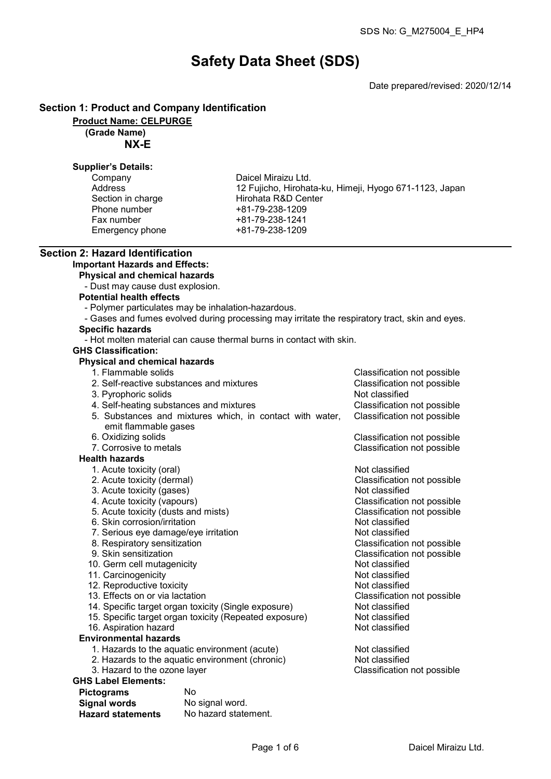# Safety Data Sheet (SDS)

Date prepared/revised: 2020/12/14

# Section 1: Product and Company Identification

Product Name: CELPURGE

(Grade Name)

NX-E

# Supplier's Details:

| Company           | Daicel Miraizu Ltd.     |
|-------------------|-------------------------|
| Address           | 12 Fujicho, Hirohata-ku |
| Section in charge | Hirohata R&D Center     |
| Phone number      | +81-79-238-1209         |
| Fax number        | +81-79-238-1241         |
| Emergency phone   | +81-79-238-1209         |

u, Himeji, Hyogo 671-1123, Japan

#### Section 2: Hazard Identification Important Hazards and Effects:

Physical and chemical hazards

- Dust may cause dust explosion.
- Potential health effects
	- Polymer particulates may be inhalation-hazardous.
- Gases and fumes evolved during processing may irritate the respiratory tract, skin and eyes.

# Specific hazards

- Hot molten material can cause thermal burns in contact with skin.

## GHS Classification:

# Physical and chemical hazards

- 1. Flammable solids Classification not possible
- 2. Self-reactive substances and mixtures Classification not possible 3. Pyrophoric solids Not classified 4. Self-heating substances and mixtures Classification not possible 5. Substances and mixtures which, in contact with water, emit flammable gases Classification not possible 6. Oxidizing solids Classification not possible 7. Corrosive to metals Classification not possible

#### Health hazards

- 1. Acute toxicity (oral) and the contract of the Not classified
- 2. Acute toxicity (dermal) Classification not possible
- 
- 3. Acute toxicity (gases) Not classified<br>
4. Acute toxicity (vapours) Not classification<br>
3. Acute toxicity (vapours)
- 5. Acute toxicity (dusts and mists) Classification control of the Section of Posterion not possible the Section of Posterion not possible the Section of Posterion not possible the Section of Posterion not possible the Sect
- 6. Skin corrosion/irritation<br>
7. Serious eve damage/eve irritation<br>
2. Serious eve damage/eve irritation
- 7. Serious eye damage/eye irritation Not classified
- 8. Respiratory sensitization<br>9. Skin sensitization
- 
- 10. Germ cell mutagenicity **Not classified**<br>11. Carcinogenicity **Not classified**
- 11. Carcinogenicity<br>12. Reproductive toxicity Not classified<br>12. Reproductive toxicity
- 12. Reproductive toxicity<br>13. Effects on or via lactation
- 
- 14. Specific target organ toxicity (Single exposure) Not classified<br>15. Specific target organ toxicity (Repeated exposure) Not classified
- 15. Specific target organ toxicity (Repeated exposure) Not classified<br>16. Aspiration hazard
- 16. Aspiration hazard
- Environmental hazards
	- 1. Hazards to the aquatic environment (acute) Not classified
	- 2. Hazards to the aquatic environment (chronic) Not classified<br>3. Hazard to the ozone layer Same Classification not possible
	- 3. Hazard to the ozone layer

# GHS Label Elements:

| <b>Pictograms</b>        | Nο                   |
|--------------------------|----------------------|
| <b>Signal words</b>      | No signal word.      |
| <b>Hazard statements</b> | No hazard statement. |

Classification not possible<br>Classification not possible

Classification not possible<br>Not classified

Classification not possible<br>Not classified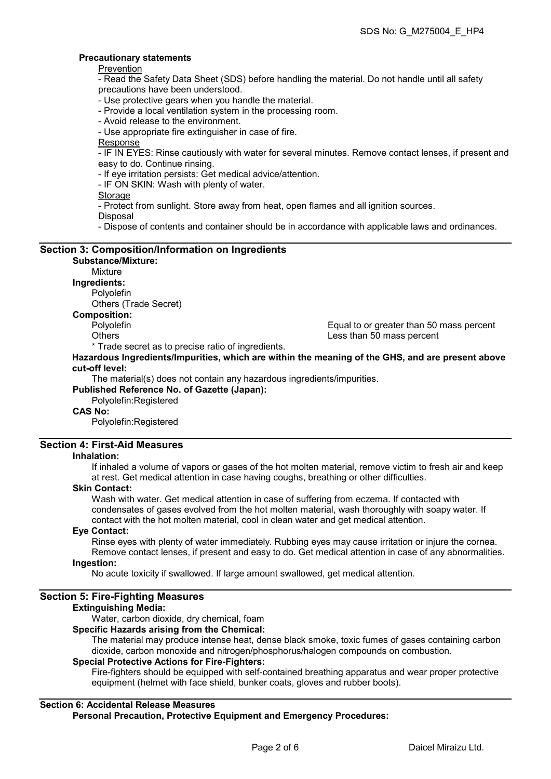## Precautionary statements

**Prevention** 

- Read the Safety Data Sheet (SDS) before handling the material. Do not handle until all safety precautions have been understood.

- Use protective gears when you handle the material.

- Provide a local ventilation system in the processing room.
- Avoid release to the environment.

- Use appropriate fire extinguisher in case of fire.

Response

- IF IN EYES: Rinse cautiously with water for several minutes. Remove contact lenses, if present and easy to do. Continue rinsing.

- If eye irritation persists: Get medical advice/attention.

- IF ON SKIN: Wash with plenty of water.

**Storage** 

- Protect from sunlight. Store away from heat, open flames and all ignition sources.

Disposal

- Dispose of contents and container should be in accordance with applicable laws and ordinances.

## Section 3: Composition/Information on Ingredients Substance/Mixture:

Mixture

Ingredients:

Polyolefin

Others (Trade Secret)

#### Composition:

Polyolefin Equal to or greater than 50 mass percent Less than 50 mass percent

\* Trade secret as to precise ratio of ingredients.

Hazardous Ingredients/Impurities, which are within the meaning of the GHS, and are present above cut-off level:

The material(s) does not contain any hazardous ingredients/impurities.

Published Reference No. of Gazette (Japan): Polyolefin:Registered

CAS No:

Polyolefin:Registered

# Section 4: First-Aid Measures

#### Inhalation:

If inhaled a volume of vapors or gases of the hot molten material, remove victim to fresh air and keep at rest. Get medical attention in case having coughs, breathing or other difficulties.

#### Skin Contact:

Wash with water. Get medical attention in case of suffering from eczema. If contacted with condensates of gases evolved from the hot molten material, wash thoroughly with soapy water. If contact with the hot molten material, cool in clean water and get medical attention.

#### Eye Contact:

Rinse eyes with plenty of water immediately. Rubbing eyes may cause irritation or injure the cornea. Remove contact lenses, if present and easy to do. Get medical attention in case of any abnormalities.

# Ingestion:

No acute toxicity if swallowed. If large amount swallowed, get medical attention.

# Section 5: Fire-Fighting Measures

#### Extinguishing Media:

Water, carbon dioxide, dry chemical, foam

# Specific Hazards arising from the Chemical:

The material may produce intense heat, dense black smoke, toxic fumes of gases containing carbon dioxide, carbon monoxide and nitrogen/phosphorus/halogen compounds on combustion.

# Special Protective Actions for Fire-Fighters:

Fire-fighters should be equipped with self-contained breathing apparatus and wear proper protective equipment (helmet with face shield, bunker coats, gloves and rubber boots).

# Section 6: Accidental Release Measures

Personal Precaution, Protective Equipment and Emergency Procedures: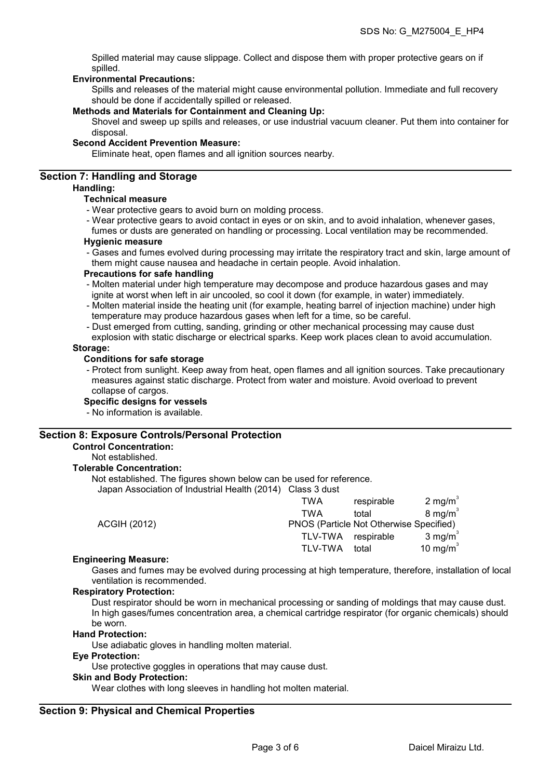Spilled material may cause slippage. Collect and dispose them with proper protective gears on if spilled.

### Environmental Precautions:

Spills and releases of the material might cause environmental pollution. Immediate and full recovery should be done if accidentally spilled or released.

#### Methods and Materials for Containment and Cleaning Up:

Shovel and sweep up spills and releases, or use industrial vacuum cleaner. Put them into container for disposal.

#### Second Accident Prevention Measure:

Eliminate heat, open flames and all ignition sources nearby.

# Section 7: Handling and Storage

#### Handling:

## Technical measure

- Wear protective gears to avoid burn on molding process.
- Wear protective gears to avoid contact in eyes or on skin, and to avoid inhalation, whenever gases,

fumes or dusts are generated on handling or processing. Local ventilation may be recommended. Hygienic measure

- Gases and fumes evolved during processing may irritate the respiratory tract and skin, large amount of them might cause nausea and headache in certain people. Avoid inhalation.

#### Precautions for safe handling

- Molten material under high temperature may decompose and produce hazardous gases and may ignite at worst when left in air uncooled, so cool it down (for example, in water) immediately.
- Molten material inside the heating unit (for example, heating barrel of injection machine) under high temperature may produce hazardous gases when left for a time, so be careful.
- Dust emerged from cutting, sanding, grinding or other mechanical processing may cause dust
- explosion with static discharge or electrical sparks. Keep work places clean to avoid accumulation. Storage:

## Conditions for safe storage

- Protect from sunlight. Keep away from heat, open flames and all ignition sources. Take precautionary measures against static discharge. Protect from water and moisture. Avoid overload to prevent collapse of cargos.

#### Specific designs for vessels

- No information is available.

#### Section 8: Exposure Controls/Personal Protection

#### Control Concentration:

Not established.

#### Tolerable Concentration:

Not established. The figures shown below can be used for reference.

Japan Association of Industrial Health (2014) Class 3 dust

|                     | TWA                                     | respirable | 2 mg/m $3$         |
|---------------------|-----------------------------------------|------------|--------------------|
|                     | TWA                                     | total      | $8 \text{ mg/m}^3$ |
| <b>ACGIH (2012)</b> | PNOS (Particle Not Otherwise Specified) |            |                    |
|                     | TLV-TWA respirable                      |            | 3 mg/m $3$         |
|                     | <b>TLV-TWA</b>                          | total      | 10 mg/m $3$        |
|                     |                                         |            |                    |

#### Engineering Measure:

Gases and fumes may be evolved during processing at high temperature, therefore, installation of local ventilation is recommended.

#### Respiratory Protection:

Dust respirator should be worn in mechanical processing or sanding of moldings that may cause dust. In high gases/fumes concentration area, a chemical cartridge respirator (for organic chemicals) should be worn.

#### Hand Protection:

Use adiabatic gloves in handling molten material.

#### Eye Protection:

Use protective goggles in operations that may cause dust.

#### Skin and Body Protection:

Wear clothes with long sleeves in handling hot molten material.

# Section 9: Physical and Chemical Properties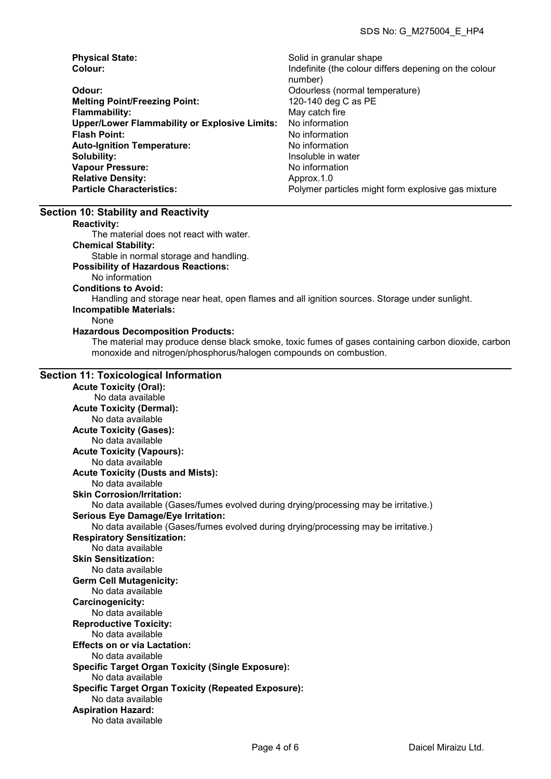| <b>Physical State:</b>                               | Solid in granular shape                               |
|------------------------------------------------------|-------------------------------------------------------|
| Colour:                                              | Indefinite (the colour differs depening on the colour |
|                                                      | number)                                               |
| Odour:                                               | Odourless (normal temperature)                        |
| <b>Melting Point/Freezing Point:</b>                 | 120-140 deg C as PE                                   |
| <b>Flammability:</b>                                 | May catch fire                                        |
| <b>Upper/Lower Flammability or Explosive Limits:</b> | No information                                        |
| <b>Flash Point:</b>                                  | No information                                        |
| <b>Auto-Ignition Temperature:</b>                    | No information                                        |
| Solubility:                                          | Insoluble in water                                    |
| <b>Vapour Pressure:</b>                              | No information                                        |
| <b>Relative Density:</b>                             | Approx.1.0                                            |
| <b>Particle Characteristics:</b>                     | Polymer particles might form explosive gas mixture    |

#### Section 10: Stability and Reactivity

Reactivity:

The material does not react with water.

Chemical Stability:

Stable in normal storage and handling.

#### Possibility of Hazardous Reactions:

No information

Conditions to Avoid:

Handling and storage near heat, open flames and all ignition sources. Storage under sunlight. Incompatible Materials:

#### None

#### Hazardous Decomposition Products:

The material may produce dense black smoke, toxic fumes of gases containing carbon dioxide, carbon monoxide and nitrogen/phosphorus/halogen compounds on combustion.

#### Section 11: Toxicological Information

Acute Toxicity (Oral): No data available Acute Toxicity (Dermal): No data available Acute Toxicity (Gases): No data available Acute Toxicity (Vapours): No data available Acute Toxicity (Dusts and Mists): No data available Skin Corrosion/Irritation: No data available (Gases/fumes evolved during drying/processing may be irritative.) Serious Eye Damage/Eye Irritation: No data available (Gases/fumes evolved during drying/processing may be irritative.) Respiratory Sensitization: No data available Skin Sensitization: No data available Germ Cell Mutagenicity: No data available Carcinogenicity: No data available Reproductive Toxicity: No data available Effects on or via Lactation: No data available Specific Target Organ Toxicity (Single Exposure): No data available Specific Target Organ Toxicity (Repeated Exposure): No data available Aspiration Hazard: No data available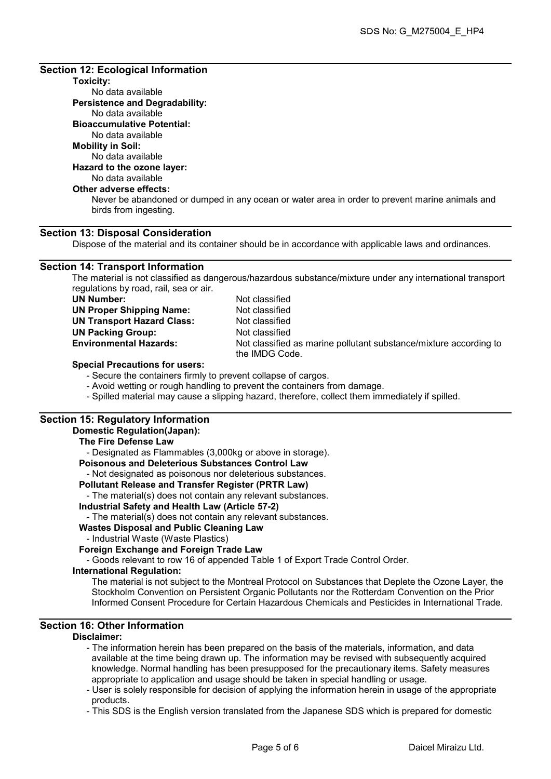# Section 12: Ecological Information

# Toxicity:

No data available Persistence and Degradability: No data available Bioaccumulative Potential: No data available

#### Mobility in Soil:

No data available

# Hazard to the ozone layer:

# No data available

# Other adverse effects:

Never be abandoned or dumped in any ocean or water area in order to prevent marine animals and birds from ingesting.

# Section 13: Disposal Consideration

Dispose of the material and its container should be in accordance with applicable laws and ordinances.

# Section 14: Transport Information

The material is not classified as dangerous/hazardous substance/mixture under any international transport regulations by road, rail, sea or air.

| UN Number:                        |
|-----------------------------------|
| <b>UN Proper Shipping Name:</b>   |
| <b>UN Transport Hazard Class:</b> |
| <b>UN Packing Group:</b>          |
| <b>Environmental Hazards:</b>     |
|                                   |

Not classified Not classified Not classified Not classified Not classified as marine pollutant substance/mixture according to the IMDG Code.

#### Special Precautions for users:

- Secure the containers firmly to prevent collapse of cargos.

- Avoid wetting or rough handling to prevent the containers from damage.
- Spilled material may cause a slipping hazard, therefore, collect them immediately if spilled.

# Section 15: Regulatory Information

#### Domestic Regulation(Japan):

# The Fire Defense Law - Designated as Flammables (3,000kg or above in storage).

Poisonous and Deleterious Substances Control Law

- Not designated as poisonous nor deleterious substances.

# Pollutant Release and Transfer Register (PRTR Law)

- The material(s) does not contain any relevant substances.

# Industrial Safety and Health Law (Article 57-2)

- The material(s) does not contain any relevant substances.

# Wastes Disposal and Public Cleaning Law

- Industrial Waste (Waste Plastics)

# Foreign Exchange and Foreign Trade Law

- Goods relevant to row 16 of appended Table 1 of Export Trade Control Order.

#### International Regulation:

The material is not subject to the Montreal Protocol on Substances that Deplete the Ozone Layer, the Stockholm Convention on Persistent Organic Pollutants nor the Rotterdam Convention on the Prior Informed Consent Procedure for Certain Hazardous Chemicals and Pesticides in International Trade.

# Section 16: Other Information

#### Disclaimer:

- The information herein has been prepared on the basis of the materials, information, and data available at the time being drawn up. The information may be revised with subsequently acquired knowledge. Normal handling has been presupposed for the precautionary items. Safety measures appropriate to application and usage should be taken in special handling or usage.

- User is solely responsible for decision of applying the information herein in usage of the appropriate products.

- This SDS is the English version translated from the Japanese SDS which is prepared for domestic